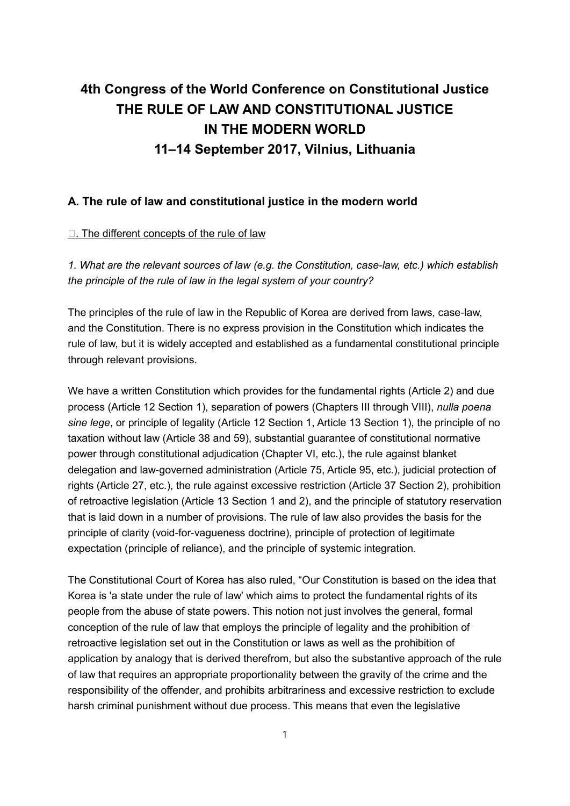# **4th Congress of the World Conference on Constitutional Justice THE RULE OF LAW AND CONSTITUTIONAL JUSTICE IN THE MODERN WORLD 11–14 September 2017, Vilnius, Lithuania**

### **A. The rule of law and constitutional justice in the modern world**

#### $\Box$ . The different concepts of the rule of law

*1. What are the relevant sources of law (e.g. the Constitution, case-law, etc.) which establish the principle of the rule of law in the legal system of your country?*

The principles of the rule of law in the Republic of Korea are derived from laws, case-law, and the Constitution. There is no express provision in the Constitution which indicates the rule of law, but it is widely accepted and established as a fundamental constitutional principle through relevant provisions.

We have a written Constitution which provides for the fundamental rights (Article 2) and due process (Article 12 Section 1), separation of powers (Chapters III through VIII), *nulla poena sine lege*, or principle of legality (Article 12 Section 1, Article 13 Section 1), the principle of no taxation without law (Article 38 and 59), substantial guarantee of constitutional normative power through constitutional adjudication (Chapter VI, etc.), the rule against blanket delegation and law-governed administration (Article 75, Article 95, etc.), judicial protection of rights (Article 27, etc.), the rule against excessive restriction (Article 37 Section 2), prohibition of retroactive legislation (Article 13 Section 1 and 2), and the principle of statutory reservation that is laid down in a number of provisions. The rule of law also provides the basis for the principle of clarity (void-for-vagueness doctrine), principle of protection of legitimate expectation (principle of reliance), and the principle of systemic integration.

The Constitutional Court of Korea has also ruled, "Our Constitution is based on the idea that Korea is 'a state under the rule of law' which aims to protect the fundamental rights of its people from the abuse of state powers. This notion not just involves the general, formal conception of the rule of law that employs the principle of legality and the prohibition of retroactive legislation set out in the Constitution or laws as well as the prohibition of application by analogy that is derived therefrom, but also the substantive approach of the rule of law that requires an appropriate proportionality between the gravity of the crime and the responsibility of the offender, and prohibits arbitrariness and excessive restriction to exclude harsh criminal punishment without due process. This means that even the legislative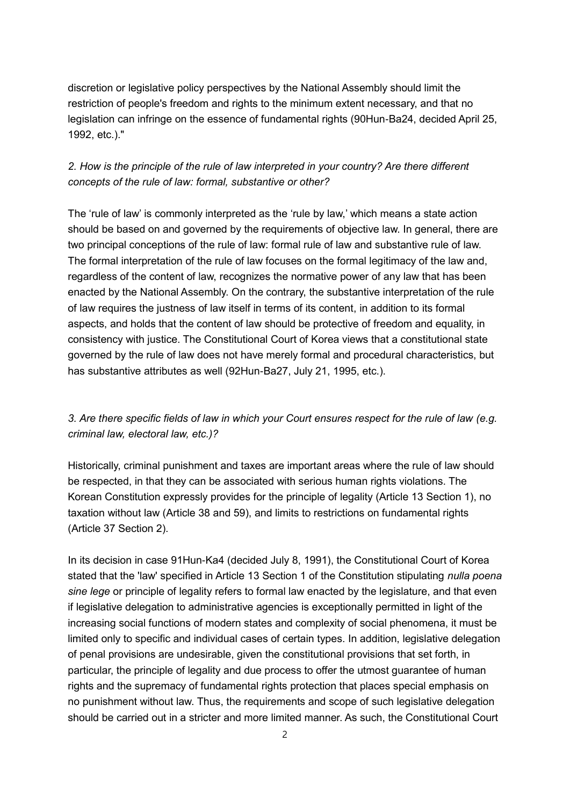discretion or legislative policy perspectives by the National Assembly should limit the restriction of people's freedom and rights to the minimum extent necessary, and that no legislation can infringe on the essence of fundamental rights (90Hun-Ba24, decided April 25, 1992, etc.)."

# *2. How is the principle of the rule of law interpreted in your country? Are there different concepts of the rule of law: formal, substantive or other?*

The 'rule of law' is commonly interpreted as the 'rule by law,' which means a state action should be based on and governed by the requirements of objective law. In general, there are two principal conceptions of the rule of law: formal rule of law and substantive rule of law. The formal interpretation of the rule of law focuses on the formal legitimacy of the law and, regardless of the content of law, recognizes the normative power of any law that has been enacted by the National Assembly. On the contrary, the substantive interpretation of the rule of law requires the justness of law itself in terms of its content, in addition to its formal aspects, and holds that the content of law should be protective of freedom and equality, in consistency with justice. The Constitutional Court of Korea views that a constitutional state governed by the rule of law does not have merely formal and procedural characteristics, but has substantive attributes as well (92Hun-Ba27, July 21, 1995, etc.).

# *3. Are there specific fields of law in which your Court ensures respect for the rule of law (e.g. criminal law, electoral law, etc.)?*

Historically, criminal punishment and taxes are important areas where the rule of law should be respected, in that they can be associated with serious human rights violations. The Korean Constitution expressly provides for the principle of legality (Article 13 Section 1), no taxation without law (Article 38 and 59), and limits to restrictions on fundamental rights (Article 37 Section 2).

In its decision in case 91Hun-Ka4 (decided July 8, 1991), the Constitutional Court of Korea stated that the 'law' specified in Article 13 Section 1 of the Constitution stipulating *nulla poena sine lege* or principle of legality refers to formal law enacted by the legislature, and that even if legislative delegation to administrative agencies is exceptionally permitted in light of the increasing social functions of modern states and complexity of social phenomena, it must be limited only to specific and individual cases of certain types. In addition, legislative delegation of penal provisions are undesirable, given the constitutional provisions that set forth, in particular, the principle of legality and due process to offer the utmost guarantee of human rights and the supremacy of fundamental rights protection that places special emphasis on no punishment without law. Thus, the requirements and scope of such legislative delegation should be carried out in a stricter and more limited manner. As such, the Constitutional Court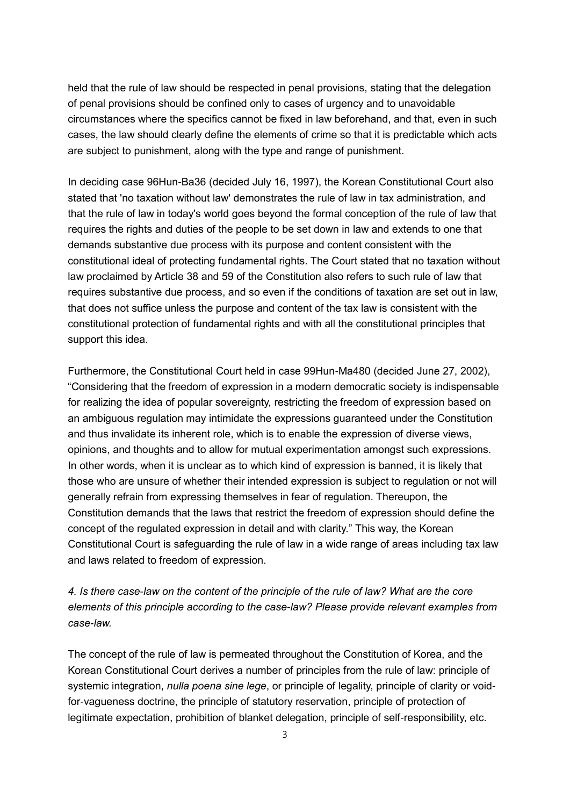held that the rule of law should be respected in penal provisions, stating that the delegation of penal provisions should be confined only to cases of urgency and to unavoidable circumstances where the specifics cannot be fixed in law beforehand, and that, even in such cases, the law should clearly define the elements of crime so that it is predictable which acts are subject to punishment, along with the type and range of punishment.

In deciding case 96Hun-Ba36 (decided July 16, 1997), the Korean Constitutional Court also stated that 'no taxation without law' demonstrates the rule of law in tax administration, and that the rule of law in today's world goes beyond the formal conception of the rule of law that requires the rights and duties of the people to be set down in law and extends to one that demands substantive due process with its purpose and content consistent with the constitutional ideal of protecting fundamental rights. The Court stated that no taxation without law proclaimed by Article 38 and 59 of the Constitution also refers to such rule of law that requires substantive due process, and so even if the conditions of taxation are set out in law, that does not suffice unless the purpose and content of the tax law is consistent with the constitutional protection of fundamental rights and with all the constitutional principles that support this idea.

Furthermore, the Constitutional Court held in case 99Hun-Ma480 (decided June 27, 2002), "Considering that the freedom of expression in a modern democratic society is indispensable for realizing the idea of popular sovereignty, restricting the freedom of expression based on an ambiguous regulation may intimidate the expressions guaranteed under the Constitution and thus invalidate its inherent role, which is to enable the expression of diverse views, opinions, and thoughts and to allow for mutual experimentation amongst such expressions. In other words, when it is unclear as to which kind of expression is banned, it is likely that those who are unsure of whether their intended expression is subject to regulation or not will generally refrain from expressing themselves in fear of regulation. Thereupon, the Constitution demands that the laws that restrict the freedom of expression should define the concept of the regulated expression in detail and with clarity." This way, the Korean Constitutional Court is safeguarding the rule of law in a wide range of areas including tax law and laws related to freedom of expression.

# *4. Is there case-law on the content of the principle of the rule of law? What are the core elements of this principle according to the case-law? Please provide relevant examples from case-law.*

The concept of the rule of law is permeated throughout the Constitution of Korea, and the Korean Constitutional Court derives a number of principles from the rule of law: principle of systemic integration, *nulla poena sine lege*, or principle of legality, principle of clarity or voidfor-vagueness doctrine, the principle of statutory reservation, principle of protection of legitimate expectation, prohibition of blanket delegation, principle of self-responsibility, etc.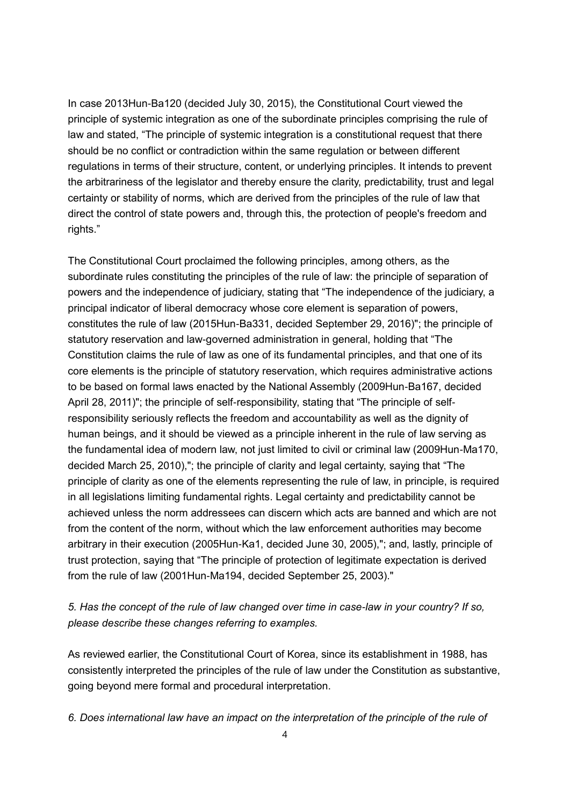In case 2013Hun-Ba120 (decided July 30, 2015), the Constitutional Court viewed the principle of systemic integration as one of the subordinate principles comprising the rule of law and stated, "The principle of systemic integration is a constitutional request that there should be no conflict or contradiction within the same regulation or between different regulations in terms of their structure, content, or underlying principles. It intends to prevent the arbitrariness of the legislator and thereby ensure the clarity, predictability, trust and legal certainty or stability of norms, which are derived from the principles of the rule of law that direct the control of state powers and, through this, the protection of people's freedom and rights."

The Constitutional Court proclaimed the following principles, among others, as the subordinate rules constituting the principles of the rule of law: the principle of separation of powers and the independence of judiciary, stating that "The independence of the judiciary, a principal indicator of liberal democracy whose core element is separation of powers, constitutes the rule of law (2015Hun-Ba331, decided September 29, 2016)"; the principle of statutory reservation and law-governed administration in general, holding that "The Constitution claims the rule of law as one of its fundamental principles, and that one of its core elements is the principle of statutory reservation, which requires administrative actions to be based on formal laws enacted by the National Assembly (2009Hun-Ba167, decided April 28, 2011)"; the principle of self-responsibility, stating that "The principle of selfresponsibility seriously reflects the freedom and accountability as well as the dignity of human beings, and it should be viewed as a principle inherent in the rule of law serving as the fundamental idea of modern law, not just limited to civil or criminal law (2009Hun-Ma170, decided March 25, 2010),"; the principle of clarity and legal certainty, saying that "The principle of clarity as one of the elements representing the rule of law, in principle, is required in all legislations limiting fundamental rights. Legal certainty and predictability cannot be achieved unless the norm addressees can discern which acts are banned and which are not from the content of the norm, without which the law enforcement authorities may become arbitrary in their execution (2005Hun-Ka1, decided June 30, 2005),"; and, lastly, principle of trust protection, saying that "The principle of protection of legitimate expectation is derived from the rule of law (2001Hun-Ma194, decided September 25, 2003)."

# *5. Has the concept of the rule of law changed over time in case-law in your country? If so, please describe these changes referring to examples.*

As reviewed earlier, the Constitutional Court of Korea, since its establishment in 1988, has consistently interpreted the principles of the rule of law under the Constitution as substantive, going beyond mere formal and procedural interpretation.

#### *6. Does international law have an impact on the interpretation of the principle of the rule of*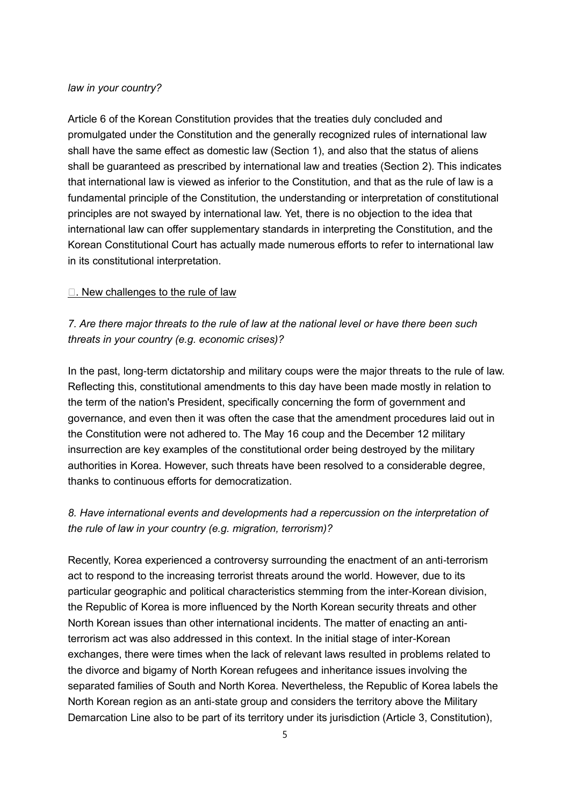#### *law in your country?*

Article 6 of the Korean Constitution provides that the treaties duly concluded and promulgated under the Constitution and the generally recognized rules of international law shall have the same effect as domestic law (Section 1), and also that the status of aliens shall be guaranteed as prescribed by international law and treaties (Section 2). This indicates that international law is viewed as inferior to the Constitution, and that as the rule of law is a fundamental principle of the Constitution, the understanding or interpretation of constitutional principles are not swayed by international law. Yet, there is no objection to the idea that international law can offer supplementary standards in interpreting the Constitution, and the Korean Constitutional Court has actually made numerous efforts to refer to international law in its constitutional interpretation.

#### $\Box$ . New challenges to the rule of law

*7. Are there major threats to the rule of law at the national level or have there been such threats in your country (e.g. economic crises)?*

In the past, long-term dictatorship and military coups were the major threats to the rule of law. Reflecting this, constitutional amendments to this day have been made mostly in relation to the term of the nation's President, specifically concerning the form of government and governance, and even then it was often the case that the amendment procedures laid out in the Constitution were not adhered to. The May 16 coup and the December 12 military insurrection are key examples of the constitutional order being destroyed by the military authorities in Korea. However, such threats have been resolved to a considerable degree, thanks to continuous efforts for democratization.

# *8. Have international events and developments had a repercussion on the interpretation of the rule of law in your country (e.g. migration, terrorism)?*

Recently, Korea experienced a controversy surrounding the enactment of an anti-terrorism act to respond to the increasing terrorist threats around the world. However, due to its particular geographic and political characteristics stemming from the inter-Korean division, the Republic of Korea is more influenced by the North Korean security threats and other North Korean issues than other international incidents. The matter of enacting an antiterrorism act was also addressed in this context. In the initial stage of inter-Korean exchanges, there were times when the lack of relevant laws resulted in problems related to the divorce and bigamy of North Korean refugees and inheritance issues involving the separated families of South and North Korea. Nevertheless, the Republic of Korea labels the North Korean region as an anti-state group and considers the territory above the Military Demarcation Line also to be part of its territory under its jurisdiction (Article 3, Constitution),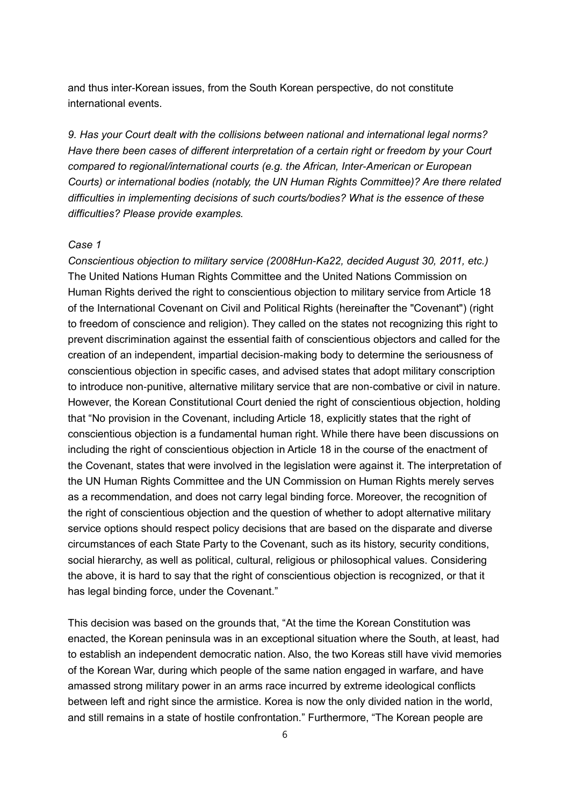and thus inter-Korean issues, from the South Korean perspective, do not constitute international events.

*9. Has your Court dealt with the collisions between national and international legal norms? Have there been cases of different interpretation of a certain right or freedom by your Court compared to regional/international courts (e.g. the African, Inter-American or European Courts) or international bodies (notably, the UN Human Rights Committee)? Are there related difficulties in implementing decisions of such courts/bodies? What is the essence of these difficulties? Please provide examples.*

#### *Case 1*

*Conscientious objection to military service (2008Hun-Ka22, decided August 30, 2011, etc.)* The United Nations Human Rights Committee and the United Nations Commission on Human Rights derived the right to conscientious objection to military service from Article 18 of the International Covenant on Civil and Political Rights (hereinafter the "Covenant") (right to freedom of conscience and religion). They called on the states not recognizing this right to prevent discrimination against the essential faith of conscientious objectors and called for the creation of an independent, impartial decision-making body to determine the seriousness of conscientious objection in specific cases, and advised states that adopt military conscription to introduce non-punitive, alternative military service that are non-combative or civil in nature. However, the Korean Constitutional Court denied the right of conscientious objection, holding that "No provision in the Covenant, including Article 18, explicitly states that the right of conscientious objection is a fundamental human right. While there have been discussions on including the right of conscientious objection in Article 18 in the course of the enactment of the Covenant, states that were involved in the legislation were against it. The interpretation of the UN Human Rights Committee and the UN Commission on Human Rights merely serves as a recommendation, and does not carry legal binding force. Moreover, the recognition of the right of conscientious objection and the question of whether to adopt alternative military service options should respect policy decisions that are based on the disparate and diverse circumstances of each State Party to the Covenant, such as its history, security conditions, social hierarchy, as well as political, cultural, religious or philosophical values. Considering the above, it is hard to say that the right of conscientious objection is recognized, or that it has legal binding force, under the Covenant."

This decision was based on the grounds that, "At the time the Korean Constitution was enacted, the Korean peninsula was in an exceptional situation where the South, at least, had to establish an independent democratic nation. Also, the two Koreas still have vivid memories of the Korean War, during which people of the same nation engaged in warfare, and have amassed strong military power in an arms race incurred by extreme ideological conflicts between left and right since the armistice. Korea is now the only divided nation in the world, and still remains in a state of hostile confrontation." Furthermore, "The Korean people are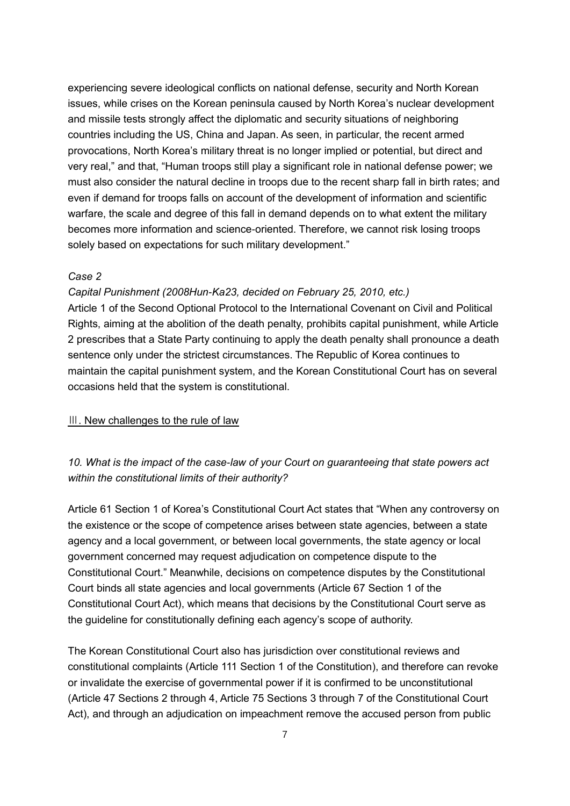experiencing severe ideological conflicts on national defense, security and North Korean issues, while crises on the Korean peninsula caused by North Korea's nuclear development and missile tests strongly affect the diplomatic and security situations of neighboring countries including the US, China and Japan. As seen, in particular, the recent armed provocations, North Korea's military threat is no longer implied or potential, but direct and very real," and that, "Human troops still play a significant role in national defense power; we must also consider the natural decline in troops due to the recent sharp fall in birth rates; and even if demand for troops falls on account of the development of information and scientific warfare, the scale and degree of this fall in demand depends on to what extent the military becomes more information and science-oriented. Therefore, we cannot risk losing troops solely based on expectations for such military development."

#### *Case 2*

#### *Capital Punishment (2008Hun-Ka23, decided on February 25, 2010, etc.)*

Article 1 of the Second Optional Protocol to the International Covenant on Civil and Political Rights, aiming at the abolition of the death penalty, prohibits capital punishment, while Article 2 prescribes that a State Party continuing to apply the death penalty shall pronounce a death sentence only under the strictest circumstances. The Republic of Korea continues to maintain the capital punishment system, and the Korean Constitutional Court has on several occasions held that the system is constitutional.

#### Ⅲ. New challenges to the rule of law

# *10. What is the impact of the case-law of your Court on guaranteeing that state powers act within the constitutional limits of their authority?*

Article 61 Section 1 of Korea's Constitutional Court Act states that "When any controversy on the existence or the scope of competence arises between state agencies, between a state agency and a local government, or between local governments, the state agency or local government concerned may request adjudication on competence dispute to the Constitutional Court." Meanwhile, decisions on competence disputes by the Constitutional Court binds all state agencies and local governments (Article 67 Section 1 of the Constitutional Court Act), which means that decisions by the Constitutional Court serve as the guideline for constitutionally defining each agency's scope of authority.

The Korean Constitutional Court also has jurisdiction over constitutional reviews and constitutional complaints (Article 111 Section 1 of the Constitution), and therefore can revoke or invalidate the exercise of governmental power if it is confirmed to be unconstitutional (Article 47 Sections 2 through 4, Article 75 Sections 3 through 7 of the Constitutional Court Act), and through an adjudication on impeachment remove the accused person from public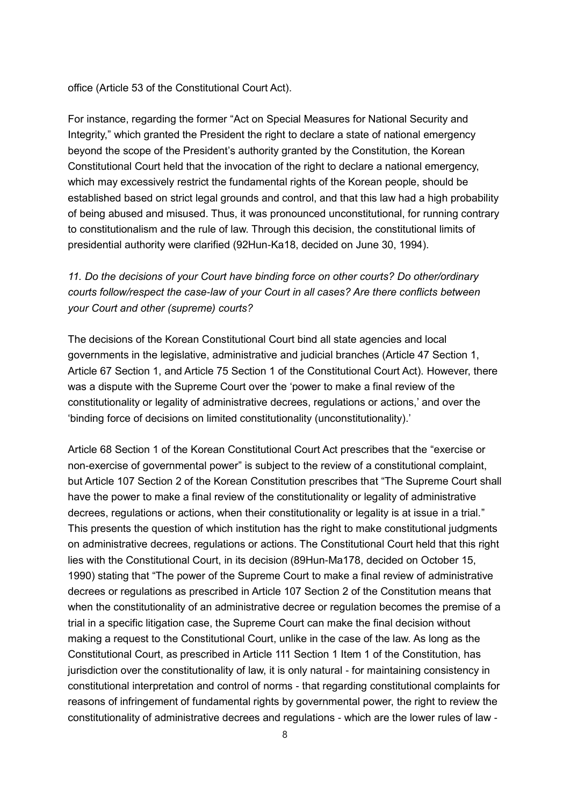office (Article 53 of the Constitutional Court Act).

For instance, regarding the former "Act on Special Measures for National Security and Integrity," which granted the President the right to declare a state of national emergency beyond the scope of the President's authority granted by the Constitution, the Korean Constitutional Court held that the invocation of the right to declare a national emergency, which may excessively restrict the fundamental rights of the Korean people, should be established based on strict legal grounds and control, and that this law had a high probability of being abused and misused. Thus, it was pronounced unconstitutional, for running contrary to constitutionalism and the rule of law. Through this decision, the constitutional limits of presidential authority were clarified (92Hun-Ka18, decided on June 30, 1994).

# *11. Do the decisions of your Court have binding force on other courts? Do other/ordinary courts follow/respect the case-law of your Court in all cases? Are there conflicts between your Court and other (supreme) courts?*

The decisions of the Korean Constitutional Court bind all state agencies and local governments in the legislative, administrative and judicial branches (Article 47 Section 1, Article 67 Section 1, and Article 75 Section 1 of the Constitutional Court Act). However, there was a dispute with the Supreme Court over the 'power to make a final review of the constitutionality or legality of administrative decrees, regulations or actions,' and over the 'binding force of decisions on limited constitutionality (unconstitutionality).'

Article 68 Section 1 of the Korean Constitutional Court Act prescribes that the "exercise or non-exercise of governmental power" is subject to the review of a constitutional complaint, but Article 107 Section 2 of the Korean Constitution prescribes that "The Supreme Court shall have the power to make a final review of the constitutionality or legality of administrative decrees, regulations or actions, when their constitutionality or legality is at issue in a trial." This presents the question of which institution has the right to make constitutional judgments on administrative decrees, regulations or actions. The Constitutional Court held that this right lies with the Constitutional Court, in its decision (89Hun-Ma178, decided on October 15, 1990) stating that "The power of the Supreme Court to make a final review of administrative decrees or regulations as prescribed in Article 107 Section 2 of the Constitution means that when the constitutionality of an administrative decree or regulation becomes the premise of a trial in a specific litigation case, the Supreme Court can make the final decision without making a request to the Constitutional Court, unlike in the case of the law. As long as the Constitutional Court, as prescribed in Article 111 Section 1 Item 1 of the Constitution, has jurisdiction over the constitutionality of law, it is only natural - for maintaining consistency in constitutional interpretation and control of norms - that regarding constitutional complaints for reasons of infringement of fundamental rights by governmental power, the right to review the constitutionality of administrative decrees and regulations - which are the lower rules of law -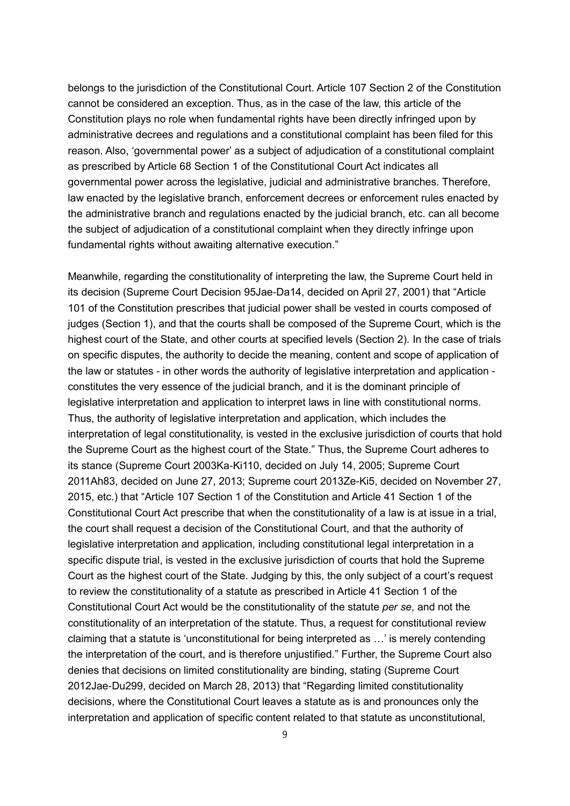belongs to the jurisdiction of the Constitutional Court. Article 107 Section 2 of the Constitution cannot be considered an exception. Thus, as in the case of the law, this article of the Constitution plays no role when fundamental rights have been directly infringed upon by administrative decrees and regulations and a constitutional complaint has been filed for this reason. Also, 'governmental power' as a subject of adjudication of a constitutional complaint as prescribed by Article 68 Section 1 of the Constitutional Court Act indicates all governmental power across the legislative, judicial and administrative branches. Therefore, law enacted by the legislative branch, enforcement decrees or enforcement rules enacted by the administrative branch and regulations enacted by the judicial branch, etc. can all become the subject of adjudication of a constitutional complaint when they directly infringe upon fundamental rights without awaiting alternative execution."

Meanwhile, regarding the constitutionality of interpreting the law, the Supreme Court held in its decision (Supreme Court Decision 95Jae-Da14, decided on April 27, 2001) that "Article 101 of the Constitution prescribes that judicial power shall be vested in courts composed of judges (Section 1), and that the courts shall be composed of the Supreme Court, which is the highest court of the State, and other courts at specified levels (Section 2). In the case of trials on specific disputes, the authority to decide the meaning, content and scope of application of the law or statutes - in other words the authority of legislative interpretation and application constitutes the very essence of the judicial branch, and it is the dominant principle of legislative interpretation and application to interpret laws in line with constitutional norms. Thus, the authority of legislative interpretation and application, which includes the interpretation of legal constitutionality, is vested in the exclusive jurisdiction of courts that hold the Supreme Court as the highest court of the State." Thus, the Supreme Court adheres to its stance (Supreme Court 2003Ka-Ki110, decided on July 14, 2005; Supreme Court 2011Ah83, decided on June 27, 2013; Supreme court 2013Ze-Ki5, decided on November 27, 2015, etc.) that "Article 107 Section 1 of the Constitution and Article 41 Section 1 of the Constitutional Court Act prescribe that when the constitutionality of a law is at issue in a trial, the court shall request a decision of the Constitutional Court, and that the authority of legislative interpretation and application, including constitutional legal interpretation in a specific dispute trial, is vested in the exclusive jurisdiction of courts that hold the Supreme Court as the highest court of the State. Judging by this, the only subject of a court's request to review the constitutionality of a statute as prescribed in Article 41 Section 1 of the Constitutional Court Act would be the constitutionality of the statute *per se*, and not the constitutionality of an interpretation of the statute. Thus, a request for constitutional review claiming that a statute is 'unconstitutional for being interpreted as …' is merely contending the interpretation of the court, and is therefore unjustified." Further, the Supreme Court also denies that decisions on limited constitutionality are binding, stating (Supreme Court 2012Jae-Du299, decided on March 28, 2013) that "Regarding limited constitutionality decisions, where the Constitutional Court leaves a statute as is and pronounces only the interpretation and application of specific content related to that statute as unconstitutional,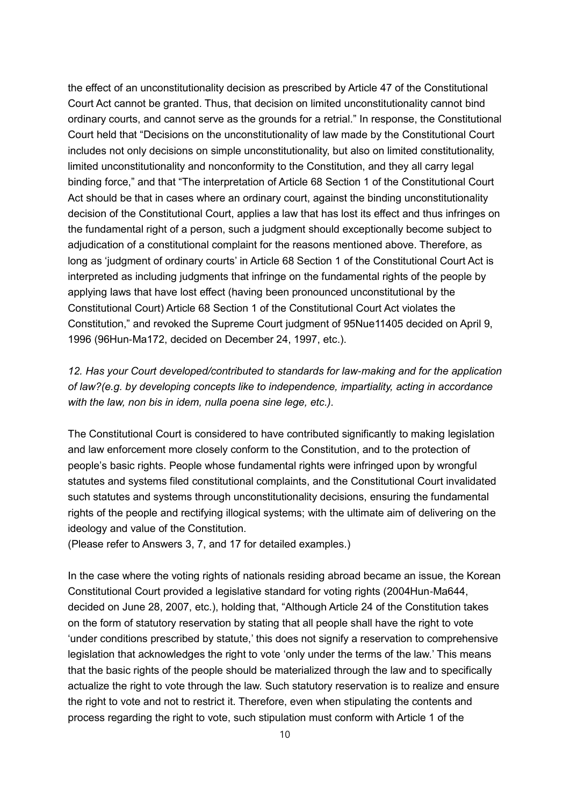the effect of an unconstitutionality decision as prescribed by Article 47 of the Constitutional Court Act cannot be granted. Thus, that decision on limited unconstitutionality cannot bind ordinary courts, and cannot serve as the grounds for a retrial." In response, the Constitutional Court held that "Decisions on the unconstitutionality of law made by the Constitutional Court includes not only decisions on simple unconstitutionality, but also on limited constitutionality, limited unconstitutionality and nonconformity to the Constitution, and they all carry legal binding force," and that "The interpretation of Article 68 Section 1 of the Constitutional Court Act should be that in cases where an ordinary court, against the binding unconstitutionality decision of the Constitutional Court, applies a law that has lost its effect and thus infringes on the fundamental right of a person, such a judgment should exceptionally become subject to adjudication of a constitutional complaint for the reasons mentioned above. Therefore, as long as 'judgment of ordinary courts' in Article 68 Section 1 of the Constitutional Court Act is interpreted as including judgments that infringe on the fundamental rights of the people by applying laws that have lost effect (having been pronounced unconstitutional by the Constitutional Court) Article 68 Section 1 of the Constitutional Court Act violates the Constitution," and revoked the Supreme Court judgment of 95Nue11405 decided on April 9, 1996 (96Hun-Ma172, decided on December 24, 1997, etc.).

*12. Has your Court developed/contributed to standards for law-making and for the application of law?(e.g. by developing concepts like to independence, impartiality, acting in accordance with the law, non bis in idem, nulla poena sine lege, etc.).*

The Constitutional Court is considered to have contributed significantly to making legislation and law enforcement more closely conform to the Constitution, and to the protection of people's basic rights. People whose fundamental rights were infringed upon by wrongful statutes and systems filed constitutional complaints, and the Constitutional Court invalidated such statutes and systems through unconstitutionality decisions, ensuring the fundamental rights of the people and rectifying illogical systems; with the ultimate aim of delivering on the ideology and value of the Constitution.

(Please refer to Answers 3, 7, and 17 for detailed examples.)

In the case where the voting rights of nationals residing abroad became an issue, the Korean Constitutional Court provided a legislative standard for voting rights (2004Hun-Ma644, decided on June 28, 2007, etc.), holding that, "Although Article 24 of the Constitution takes on the form of statutory reservation by stating that all people shall have the right to vote 'under conditions prescribed by statute,' this does not signify a reservation to comprehensive legislation that acknowledges the right to vote 'only under the terms of the law.' This means that the basic rights of the people should be materialized through the law and to specifically actualize the right to vote through the law. Such statutory reservation is to realize and ensure the right to vote and not to restrict it. Therefore, even when stipulating the contents and process regarding the right to vote, such stipulation must conform with Article 1 of the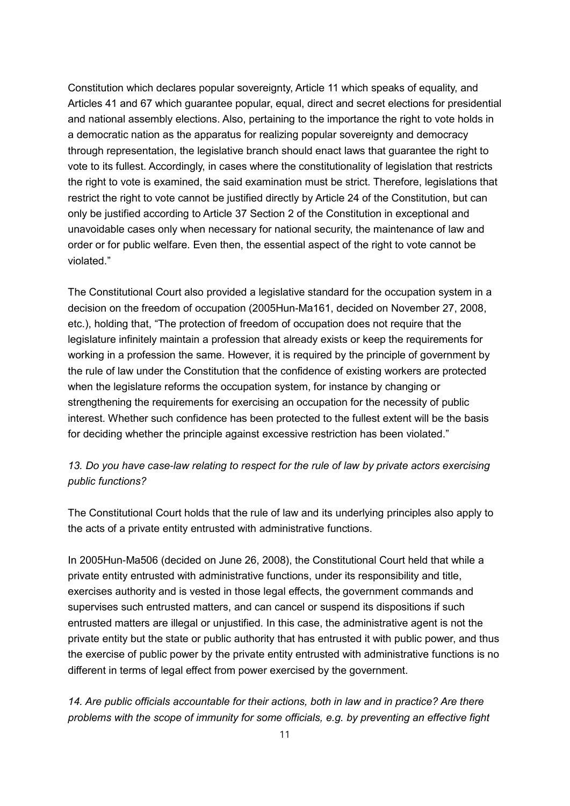Constitution which declares popular sovereignty, Article 11 which speaks of equality, and Articles 41 and 67 which guarantee popular, equal, direct and secret elections for presidential and national assembly elections. Also, pertaining to the importance the right to vote holds in a democratic nation as the apparatus for realizing popular sovereignty and democracy through representation, the legislative branch should enact laws that guarantee the right to vote to its fullest. Accordingly, in cases where the constitutionality of legislation that restricts the right to vote is examined, the said examination must be strict. Therefore, legislations that restrict the right to vote cannot be justified directly by Article 24 of the Constitution, but can only be justified according to Article 37 Section 2 of the Constitution in exceptional and unavoidable cases only when necessary for national security, the maintenance of law and order or for public welfare. Even then, the essential aspect of the right to vote cannot be violated."

The Constitutional Court also provided a legislative standard for the occupation system in a decision on the freedom of occupation (2005Hun-Ma161, decided on November 27, 2008, etc.), holding that, "The protection of freedom of occupation does not require that the legislature infinitely maintain a profession that already exists or keep the requirements for working in a profession the same. However, it is required by the principle of government by the rule of law under the Constitution that the confidence of existing workers are protected when the legislature reforms the occupation system, for instance by changing or strengthening the requirements for exercising an occupation for the necessity of public interest. Whether such confidence has been protected to the fullest extent will be the basis for deciding whether the principle against excessive restriction has been violated."

# *13. Do you have case-law relating to respect for the rule of law by private actors exercising public functions?*

The Constitutional Court holds that the rule of law and its underlying principles also apply to the acts of a private entity entrusted with administrative functions.

In 2005Hun-Ma506 (decided on June 26, 2008), the Constitutional Court held that while a private entity entrusted with administrative functions, under its responsibility and title, exercises authority and is vested in those legal effects, the government commands and supervises such entrusted matters, and can cancel or suspend its dispositions if such entrusted matters are illegal or unjustified. In this case, the administrative agent is not the private entity but the state or public authority that has entrusted it with public power, and thus the exercise of public power by the private entity entrusted with administrative functions is no different in terms of legal effect from power exercised by the government.

*14. Are public officials accountable for their actions, both in law and in practice? Are there problems with the scope of immunity for some officials, e.g. by preventing an effective fight*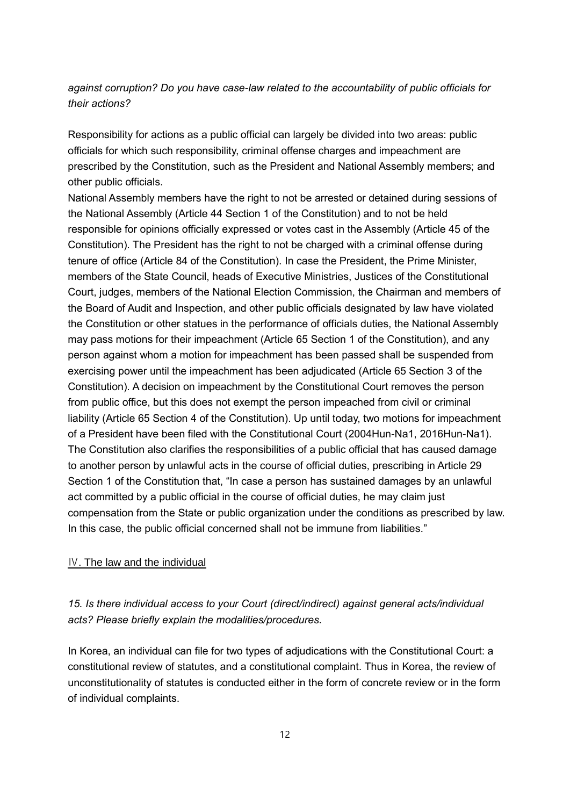# *against corruption? Do you have case-law related to the accountability of public officials for their actions?*

Responsibility for actions as a public official can largely be divided into two areas: public officials for which such responsibility, criminal offense charges and impeachment are prescribed by the Constitution, such as the President and National Assembly members; and other public officials.

National Assembly members have the right to not be arrested or detained during sessions of the National Assembly (Article 44 Section 1 of the Constitution) and to not be held responsible for opinions officially expressed or votes cast in the Assembly (Article 45 of the Constitution). The President has the right to not be charged with a criminal offense during tenure of office (Article 84 of the Constitution). In case the President, the Prime Minister, members of the State Council, heads of Executive Ministries, Justices of the Constitutional Court, judges, members of the National Election Commission, the Chairman and members of the Board of Audit and Inspection, and other public officials designated by law have violated the Constitution or other statues in the performance of officials duties, the National Assembly may pass motions for their impeachment (Article 65 Section 1 of the Constitution), and any person against whom a motion for impeachment has been passed shall be suspended from exercising power until the impeachment has been adjudicated (Article 65 Section 3 of the Constitution). A decision on impeachment by the Constitutional Court removes the person from public office, but this does not exempt the person impeached from civil or criminal liability (Article 65 Section 4 of the Constitution). Up until today, two motions for impeachment of a President have been filed with the Constitutional Court (2004Hun-Na1, 2016Hun-Na1). The Constitution also clarifies the responsibilities of a public official that has caused damage to another person by unlawful acts in the course of official duties, prescribing in Article 29 Section 1 of the Constitution that, "In case a person has sustained damages by an unlawful act committed by a public official in the course of official duties, he may claim just compensation from the State or public organization under the conditions as prescribed by law. In this case, the public official concerned shall not be immune from liabilities."

#### Ⅳ. The law and the individual

# *15. Is there individual access to your Court (direct/indirect) against general acts/individual acts? Please briefly explain the modalities/procedures.*

In Korea, an individual can file for two types of adjudications with the Constitutional Court: a constitutional review of statutes, and a constitutional complaint. Thus in Korea, the review of unconstitutionality of statutes is conducted either in the form of concrete review or in the form of individual complaints.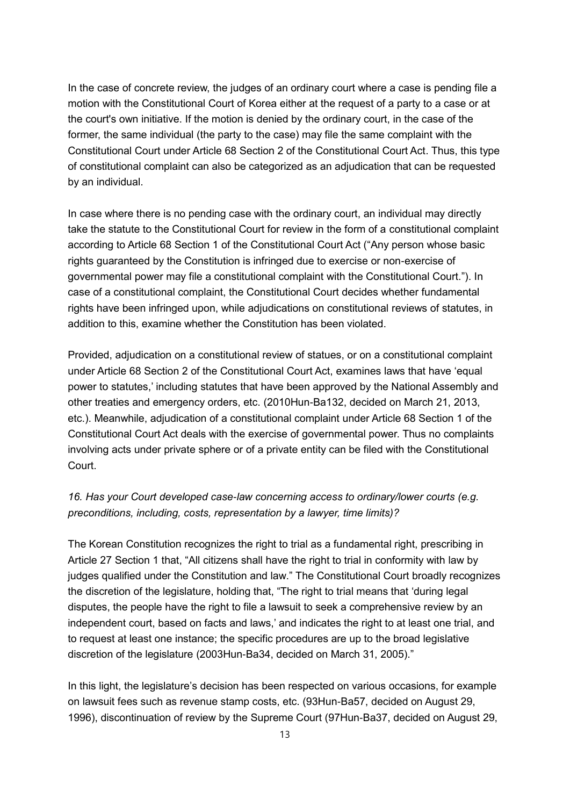In the case of concrete review, the judges of an ordinary court where a case is pending file a motion with the Constitutional Court of Korea either at the request of a party to a case or at the court's own initiative. If the motion is denied by the ordinary court, in the case of the former, the same individual (the party to the case) may file the same complaint with the Constitutional Court under Article 68 Section 2 of the Constitutional Court Act. Thus, this type of constitutional complaint can also be categorized as an adjudication that can be requested by an individual.

In case where there is no pending case with the ordinary court, an individual may directly take the statute to the Constitutional Court for review in the form of a constitutional complaint according to Article 68 Section 1 of the Constitutional Court Act ("Any person whose basic rights guaranteed by the Constitution is infringed due to exercise or non-exercise of governmental power may file a constitutional complaint with the Constitutional Court."). In case of a constitutional complaint, the Constitutional Court decides whether fundamental rights have been infringed upon, while adjudications on constitutional reviews of statutes, in addition to this, examine whether the Constitution has been violated.

Provided, adjudication on a constitutional review of statues, or on a constitutional complaint under Article 68 Section 2 of the Constitutional Court Act, examines laws that have 'equal power to statutes,' including statutes that have been approved by the National Assembly and other treaties and emergency orders, etc. (2010Hun-Ba132, decided on March 21, 2013, etc.). Meanwhile, adjudication of a constitutional complaint under Article 68 Section 1 of the Constitutional Court Act deals with the exercise of governmental power. Thus no complaints involving acts under private sphere or of a private entity can be filed with the Constitutional Court.

# *16. Has your Court developed case-law concerning access to ordinary/lower courts (e.g. preconditions, including, costs, representation by a lawyer, time limits)?*

The Korean Constitution recognizes the right to trial as a fundamental right, prescribing in Article 27 Section 1 that, "All citizens shall have the right to trial in conformity with law by judges qualified under the Constitution and law." The Constitutional Court broadly recognizes the discretion of the legislature, holding that, "The right to trial means that 'during legal disputes, the people have the right to file a lawsuit to seek a comprehensive review by an independent court, based on facts and laws,' and indicates the right to at least one trial, and to request at least one instance; the specific procedures are up to the broad legislative discretion of the legislature (2003Hun-Ba34, decided on March 31, 2005)."

In this light, the legislature's decision has been respected on various occasions, for example on lawsuit fees such as revenue stamp costs, etc. (93Hun-Ba57, decided on August 29, 1996), discontinuation of review by the Supreme Court (97Hun-Ba37, decided on August 29,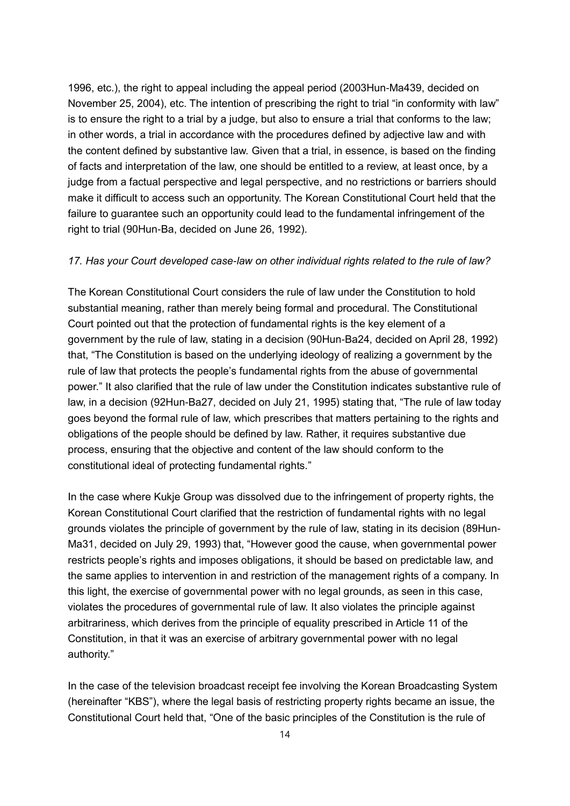1996, etc.), the right to appeal including the appeal period (2003Hun-Ma439, decided on November 25, 2004), etc. The intention of prescribing the right to trial "in conformity with law" is to ensure the right to a trial by a judge, but also to ensure a trial that conforms to the law; in other words, a trial in accordance with the procedures defined by adjective law and with the content defined by substantive law. Given that a trial, in essence, is based on the finding of facts and interpretation of the law, one should be entitled to a review, at least once, by a judge from a factual perspective and legal perspective, and no restrictions or barriers should make it difficult to access such an opportunity. The Korean Constitutional Court held that the failure to guarantee such an opportunity could lead to the fundamental infringement of the right to trial (90Hun-Ba, decided on June 26, 1992).

#### *17. Has your Court developed case-law on other individual rights related to the rule of law?*

The Korean Constitutional Court considers the rule of law under the Constitution to hold substantial meaning, rather than merely being formal and procedural. The Constitutional Court pointed out that the protection of fundamental rights is the key element of a government by the rule of law, stating in a decision (90Hun-Ba24, decided on April 28, 1992) that, "The Constitution is based on the underlying ideology of realizing a government by the rule of law that protects the people's fundamental rights from the abuse of governmental power." It also clarified that the rule of law under the Constitution indicates substantive rule of law, in a decision (92Hun-Ba27, decided on July 21, 1995) stating that, "The rule of law today goes beyond the formal rule of law, which prescribes that matters pertaining to the rights and obligations of the people should be defined by law. Rather, it requires substantive due process, ensuring that the objective and content of the law should conform to the constitutional ideal of protecting fundamental rights."

In the case where Kukje Group was dissolved due to the infringement of property rights, the Korean Constitutional Court clarified that the restriction of fundamental rights with no legal grounds violates the principle of government by the rule of law, stating in its decision (89Hun-Ma31, decided on July 29, 1993) that, "However good the cause, when governmental power restricts people's rights and imposes obligations, it should be based on predictable law, and the same applies to intervention in and restriction of the management rights of a company. In this light, the exercise of governmental power with no legal grounds, as seen in this case, violates the procedures of governmental rule of law. It also violates the principle against arbitrariness, which derives from the principle of equality prescribed in Article 11 of the Constitution, in that it was an exercise of arbitrary governmental power with no legal authority."

In the case of the television broadcast receipt fee involving the Korean Broadcasting System (hereinafter "KBS"), where the legal basis of restricting property rights became an issue, the Constitutional Court held that, "One of the basic principles of the Constitution is the rule of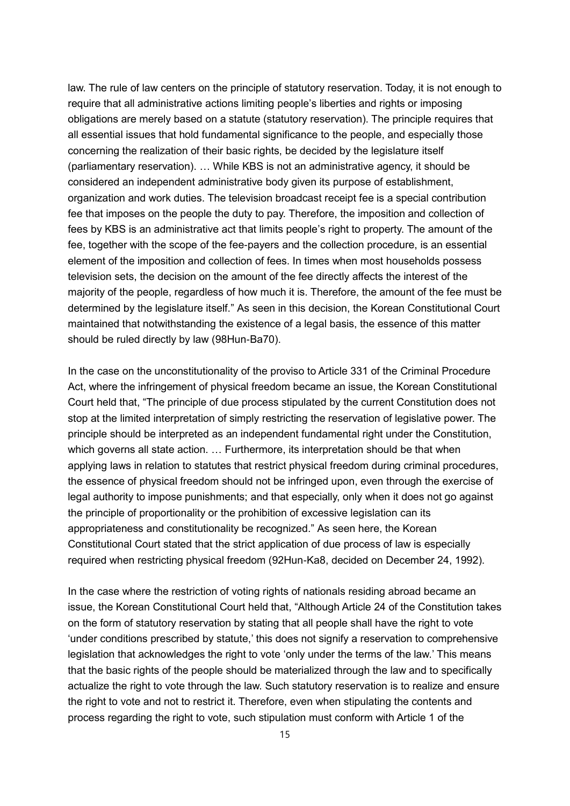law. The rule of law centers on the principle of statutory reservation. Today, it is not enough to require that all administrative actions limiting people's liberties and rights or imposing obligations are merely based on a statute (statutory reservation). The principle requires that all essential issues that hold fundamental significance to the people, and especially those concerning the realization of their basic rights, be decided by the legislature itself (parliamentary reservation). … While KBS is not an administrative agency, it should be considered an independent administrative body given its purpose of establishment, organization and work duties. The television broadcast receipt fee is a special contribution fee that imposes on the people the duty to pay. Therefore, the imposition and collection of fees by KBS is an administrative act that limits people's right to property. The amount of the fee, together with the scope of the fee-payers and the collection procedure, is an essential element of the imposition and collection of fees. In times when most households possess television sets, the decision on the amount of the fee directly affects the interest of the majority of the people, regardless of how much it is. Therefore, the amount of the fee must be determined by the legislature itself." As seen in this decision, the Korean Constitutional Court maintained that notwithstanding the existence of a legal basis, the essence of this matter should be ruled directly by law (98Hun-Ba70).

In the case on the unconstitutionality of the proviso to Article 331 of the Criminal Procedure Act, where the infringement of physical freedom became an issue, the Korean Constitutional Court held that, "The principle of due process stipulated by the current Constitution does not stop at the limited interpretation of simply restricting the reservation of legislative power. The principle should be interpreted as an independent fundamental right under the Constitution, which governs all state action. … Furthermore, its interpretation should be that when applying laws in relation to statutes that restrict physical freedom during criminal procedures, the essence of physical freedom should not be infringed upon, even through the exercise of legal authority to impose punishments; and that especially, only when it does not go against the principle of proportionality or the prohibition of excessive legislation can its appropriateness and constitutionality be recognized." As seen here, the Korean Constitutional Court stated that the strict application of due process of law is especially required when restricting physical freedom (92Hun-Ka8, decided on December 24, 1992).

In the case where the restriction of voting rights of nationals residing abroad became an issue, the Korean Constitutional Court held that, "Although Article 24 of the Constitution takes on the form of statutory reservation by stating that all people shall have the right to vote 'under conditions prescribed by statute,' this does not signify a reservation to comprehensive legislation that acknowledges the right to vote 'only under the terms of the law.' This means that the basic rights of the people should be materialized through the law and to specifically actualize the right to vote through the law. Such statutory reservation is to realize and ensure the right to vote and not to restrict it. Therefore, even when stipulating the contents and process regarding the right to vote, such stipulation must conform with Article 1 of the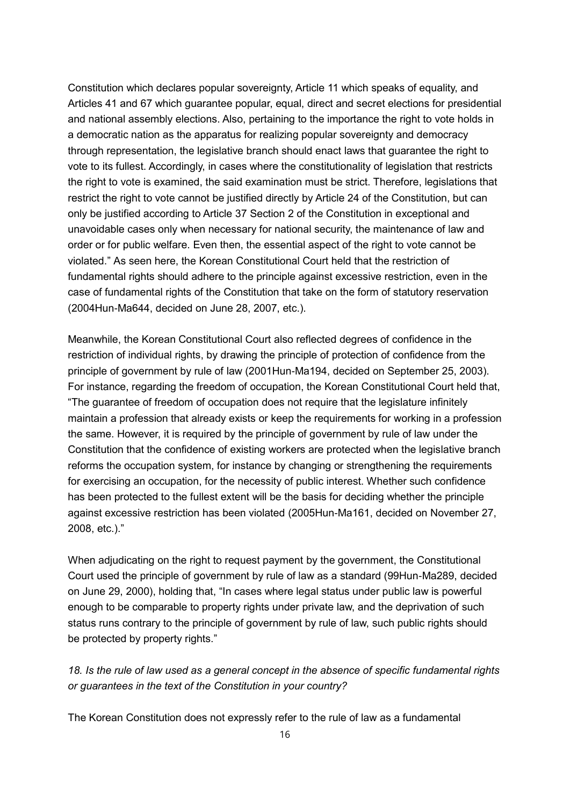Constitution which declares popular sovereignty, Article 11 which speaks of equality, and Articles 41 and 67 which guarantee popular, equal, direct and secret elections for presidential and national assembly elections. Also, pertaining to the importance the right to vote holds in a democratic nation as the apparatus for realizing popular sovereignty and democracy through representation, the legislative branch should enact laws that guarantee the right to vote to its fullest. Accordingly, in cases where the constitutionality of legislation that restricts the right to vote is examined, the said examination must be strict. Therefore, legislations that restrict the right to vote cannot be justified directly by Article 24 of the Constitution, but can only be justified according to Article 37 Section 2 of the Constitution in exceptional and unavoidable cases only when necessary for national security, the maintenance of law and order or for public welfare. Even then, the essential aspect of the right to vote cannot be violated." As seen here, the Korean Constitutional Court held that the restriction of fundamental rights should adhere to the principle against excessive restriction, even in the case of fundamental rights of the Constitution that take on the form of statutory reservation (2004Hun-Ma644, decided on June 28, 2007, etc.).

Meanwhile, the Korean Constitutional Court also reflected degrees of confidence in the restriction of individual rights, by drawing the principle of protection of confidence from the principle of government by rule of law (2001Hun-Ma194, decided on September 25, 2003). For instance, regarding the freedom of occupation, the Korean Constitutional Court held that, "The guarantee of freedom of occupation does not require that the legislature infinitely maintain a profession that already exists or keep the requirements for working in a profession the same. However, it is required by the principle of government by rule of law under the Constitution that the confidence of existing workers are protected when the legislative branch reforms the occupation system, for instance by changing or strengthening the requirements for exercising an occupation, for the necessity of public interest. Whether such confidence has been protected to the fullest extent will be the basis for deciding whether the principle against excessive restriction has been violated (2005Hun-Ma161, decided on November 27, 2008, etc.)."

When adjudicating on the right to request payment by the government, the Constitutional Court used the principle of government by rule of law as a standard (99Hun-Ma289, decided on June 29, 2000), holding that, "In cases where legal status under public law is powerful enough to be comparable to property rights under private law, and the deprivation of such status runs contrary to the principle of government by rule of law, such public rights should be protected by property rights."

*18. Is the rule of law used as a general concept in the absence of specific fundamental rights or guarantees in the text of the Constitution in your country?*

The Korean Constitution does not expressly refer to the rule of law as a fundamental